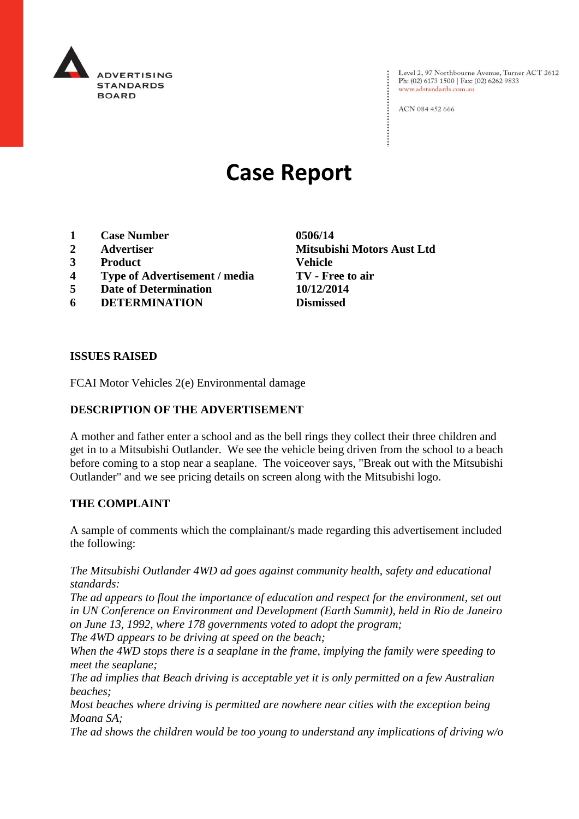

Level 2, 97 Northbourne Avenue, Turner ACT 2612 Ph: (02) 6173 1500 | Fax: (02) 6262 9833 www.adstandards.com.au

ACN 084 452 666

# **Case Report**

- **1 Case Number 0506/14**
- 
- **3 Product Vehicle**
- **4 Type of Advertisement / media TV - Free to air**
- **5 Date of Determination 10/12/2014**
- **6 DETERMINATION Dismissed**

**2 Advertiser Mitsubishi Motors Aust Ltd**

#### **ISSUES RAISED**

FCAI Motor Vehicles 2(e) Environmental damage

### **DESCRIPTION OF THE ADVERTISEMENT**

A mother and father enter a school and as the bell rings they collect their three children and get in to a Mitsubishi Outlander. We see the vehicle being driven from the school to a beach before coming to a stop near a seaplane. The voiceover says, "Break out with the Mitsubishi Outlander" and we see pricing details on screen along with the Mitsubishi logo.

#### **THE COMPLAINT**

A sample of comments which the complainant/s made regarding this advertisement included the following:

*The Mitsubishi Outlander 4WD ad goes against community health, safety and educational standards:*

*The ad appears to flout the importance of education and respect for the environment, set out in UN Conference on Environment and Development (Earth Summit), held in Rio de Janeiro on June 13, 1992, where 178 governments voted to adopt the program;*

*The 4WD appears to be driving at speed on the beach;*

*When the 4WD stops there is a seaplane in the frame, implying the family were speeding to meet the seaplane;*

*The ad implies that Beach driving is acceptable yet it is only permitted on a few Australian beaches;*

*Most beaches where driving is permitted are nowhere near cities with the exception being Moana SA;*

*The ad shows the children would be too young to understand any implications of driving w/o*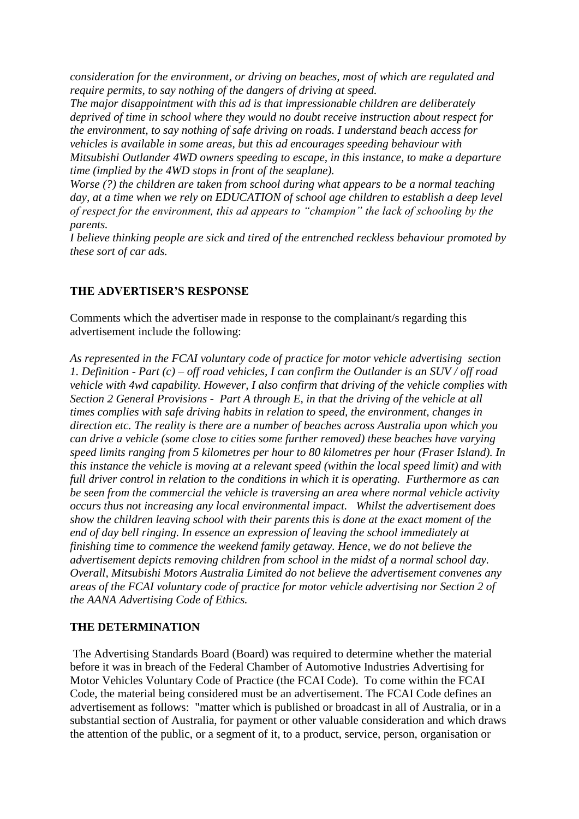*consideration for the environment, or driving on beaches, most of which are regulated and require permits, to say nothing of the dangers of driving at speed.*

*The major disappointment with this ad is that impressionable children are deliberately deprived of time in school where they would no doubt receive instruction about respect for the environment, to say nothing of safe driving on roads. I understand beach access for vehicles is available in some areas, but this ad encourages speeding behaviour with Mitsubishi Outlander 4WD owners speeding to escape, in this instance, to make a departure time (implied by the 4WD stops in front of the seaplane).*

*Worse (?) the children are taken from school during what appears to be a normal teaching*  day, at a time when we rely on EDUCATION of school age children to establish a deep level *of respect for the environment, this ad appears to "champion" the lack of schooling by the parents.*

*I believe thinking people are sick and tired of the entrenched reckless behaviour promoted by these sort of car ads.*

## **THE ADVERTISER'S RESPONSE**

Comments which the advertiser made in response to the complainant/s regarding this advertisement include the following:

*As represented in the FCAI voluntary code of practice for motor vehicle advertising section 1. Definition - Part (c) – off road vehicles, I can confirm the Outlander is an SUV / off road vehicle with 4wd capability. However, I also confirm that driving of the vehicle complies with Section 2 General Provisions - Part A through E, in that the driving of the vehicle at all times complies with safe driving habits in relation to speed, the environment, changes in direction etc. The reality is there are a number of beaches across Australia upon which you can drive a vehicle (some close to cities some further removed) these beaches have varying speed limits ranging from 5 kilometres per hour to 80 kilometres per hour (Fraser Island). In this instance the vehicle is moving at a relevant speed (within the local speed limit) and with full driver control in relation to the conditions in which it is operating. Furthermore as can be seen from the commercial the vehicle is traversing an area where normal vehicle activity occurs thus not increasing any local environmental impact. Whilst the advertisement does show the children leaving school with their parents this is done at the exact moment of the end of day bell ringing. In essence an expression of leaving the school immediately at finishing time to commence the weekend family getaway. Hence, we do not believe the advertisement depicts removing children from school in the midst of a normal school day. Overall, Mitsubishi Motors Australia Limited do not believe the advertisement convenes any areas of the FCAI voluntary code of practice for motor vehicle advertising nor Section 2 of the AANA Advertising Code of Ethics.*

#### **THE DETERMINATION**

The Advertising Standards Board (Board) was required to determine whether the material before it was in breach of the Federal Chamber of Automotive Industries Advertising for Motor Vehicles Voluntary Code of Practice (the FCAI Code). To come within the FCAI Code, the material being considered must be an advertisement. The FCAI Code defines an advertisement as follows: "matter which is published or broadcast in all of Australia, or in a substantial section of Australia, for payment or other valuable consideration and which draws the attention of the public, or a segment of it, to a product, service, person, organisation or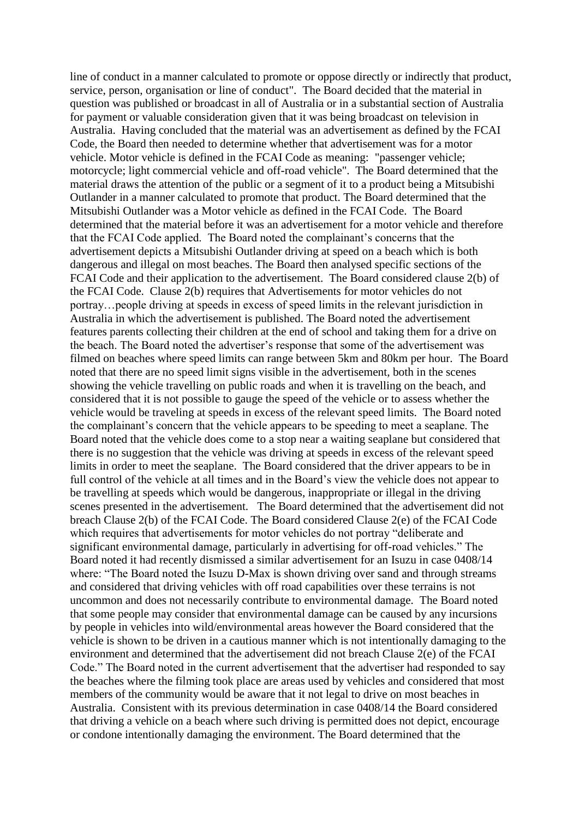line of conduct in a manner calculated to promote or oppose directly or indirectly that product, service, person, organisation or line of conduct". The Board decided that the material in question was published or broadcast in all of Australia or in a substantial section of Australia for payment or valuable consideration given that it was being broadcast on television in Australia. Having concluded that the material was an advertisement as defined by the FCAI Code, the Board then needed to determine whether that advertisement was for a motor vehicle. Motor vehicle is defined in the FCAI Code as meaning: "passenger vehicle; motorcycle; light commercial vehicle and off-road vehicle". The Board determined that the material draws the attention of the public or a segment of it to a product being a Mitsubishi Outlander in a manner calculated to promote that product. The Board determined that the Mitsubishi Outlander was a Motor vehicle as defined in the FCAI Code. The Board determined that the material before it was an advertisement for a motor vehicle and therefore that the FCAI Code applied. The Board noted the complainant's concerns that the advertisement depicts a Mitsubishi Outlander driving at speed on a beach which is both dangerous and illegal on most beaches. The Board then analysed specific sections of the FCAI Code and their application to the advertisement. The Board considered clause 2(b) of the FCAI Code. Clause 2(b) requires that Advertisements for motor vehicles do not portray…people driving at speeds in excess of speed limits in the relevant jurisdiction in Australia in which the advertisement is published. The Board noted the advertisement features parents collecting their children at the end of school and taking them for a drive on the beach. The Board noted the advertiser's response that some of the advertisement was filmed on beaches where speed limits can range between 5km and 80km per hour. The Board noted that there are no speed limit signs visible in the advertisement, both in the scenes showing the vehicle travelling on public roads and when it is travelling on the beach, and considered that it is not possible to gauge the speed of the vehicle or to assess whether the vehicle would be traveling at speeds in excess of the relevant speed limits. The Board noted the complainant's concern that the vehicle appears to be speeding to meet a seaplane. The Board noted that the vehicle does come to a stop near a waiting seaplane but considered that there is no suggestion that the vehicle was driving at speeds in excess of the relevant speed limits in order to meet the seaplane. The Board considered that the driver appears to be in full control of the vehicle at all times and in the Board's view the vehicle does not appear to be travelling at speeds which would be dangerous, inappropriate or illegal in the driving scenes presented in the advertisement. The Board determined that the advertisement did not breach Clause 2(b) of the FCAI Code. The Board considered Clause 2(e) of the FCAI Code which requires that advertisements for motor vehicles do not portray "deliberate and significant environmental damage, particularly in advertising for off-road vehicles." The Board noted it had recently dismissed a similar advertisement for an Isuzu in case 0408/14 where: "The Board noted the Isuzu D-Max is shown driving over sand and through streams and considered that driving vehicles with off road capabilities over these terrains is not uncommon and does not necessarily contribute to environmental damage. The Board noted that some people may consider that environmental damage can be caused by any incursions by people in vehicles into wild/environmental areas however the Board considered that the vehicle is shown to be driven in a cautious manner which is not intentionally damaging to the environment and determined that the advertisement did not breach Clause 2(e) of the FCAI Code." The Board noted in the current advertisement that the advertiser had responded to say the beaches where the filming took place are areas used by vehicles and considered that most members of the community would be aware that it not legal to drive on most beaches in Australia. Consistent with its previous determination in case 0408/14 the Board considered that driving a vehicle on a beach where such driving is permitted does not depict, encourage or condone intentionally damaging the environment. The Board determined that the